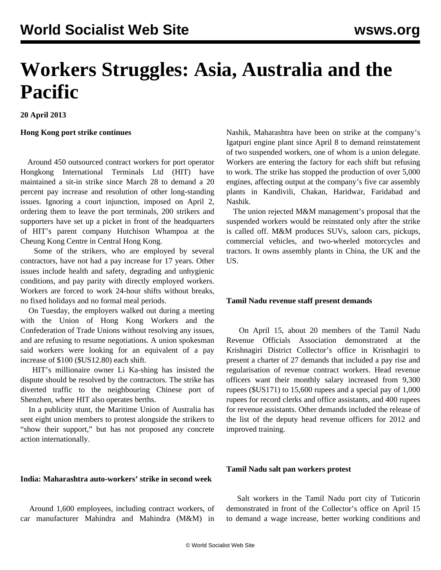# **Workers Struggles: Asia, Australia and the Pacific**

**20 April 2013**

# **Hong Kong port strike continues**

 Around 450 outsourced contract workers for port operator Hongkong International Terminals Ltd (HIT) have maintained a sit-in strike since March 28 to demand a 20 percent pay increase and resolution of other long-standing issues. Ignoring a court injunction, imposed on April 2, ordering them to leave the port terminals, 200 strikers and supporters have set up a picket in front of the headquarters of HIT's parent company Hutchison Whampoa at the Cheung Kong Centre in Central Hong Kong.

 Some of the strikers, who are employed by several contractors, have not had a pay increase for 17 years. Other issues include health and safety, degrading and unhygienic conditions, and pay parity with directly employed workers. Workers are forced to work 24-hour shifts without breaks, no fixed holidays and no formal meal periods.

 On Tuesday, the employers walked out during a meeting with the Union of Hong Kong Workers and the Confederation of Trade Unions without resolving any issues, and are refusing to resume negotiations. A union spokesman said workers were looking for an equivalent of a pay increase of \$100 (\$US12.80) each shift.

 HIT's millionaire owner Li Ka-shing has insisted the dispute should be resolved by the contractors. The strike has diverted traffic to the neighbouring Chinese port of Shenzhen, where HIT also operates berths.

 In a publicity stunt, the Maritime Union of Australia has sent eight union members to protest alongside the strikers to "show their support," but has not proposed any concrete action internationally.

# **India: Maharashtra auto-workers' strike in second week**

 Around 1,600 employees, including contract workers, of car manufacturer Mahindra and Mahindra (M&M) in Nashik, Maharashtra have been on strike at the company's Igatpuri engine plant since April 8 to demand reinstatement of two suspended workers, one of whom is a union delegate. Workers are entering the factory for each shift but refusing to work. The strike has stopped the production of over 5,000 engines, affecting output at the company's five car assembly plants in Kandivili, Chakan, Haridwar, Faridabad and Nashik.

 The union rejected M&M management's proposal that the suspended workers would be reinstated only after the strike is called off. M&M produces SUVs, saloon cars, pickups, commercial vehicles, and two-wheeled motorcycles and tractors. It owns assembly plants in China, the UK and the US.

# **Tamil Nadu revenue staff present demands**

 On April 15, about 20 members of the Tamil Nadu Revenue Officials Association demonstrated at the Krishnagiri District Collector's office in Krisnhagiri to present a charter of 27 demands that included a pay rise and regularisation of revenue contract workers. Head revenue officers want their monthly salary increased from 9,300 rupees (\$US171) to 15,600 rupees and a special pay of 1,000 rupees for record clerks and office assistants, and 400 rupees for revenue assistants. Other demands included the release of the list of the deputy head revenue officers for 2012 and improved training.

#### **Tamil Nadu salt pan workers protest**

 Salt workers in the Tamil Nadu port city of Tuticorin demonstrated in front of the Collector's office on April 15 to demand a wage increase, better working conditions and